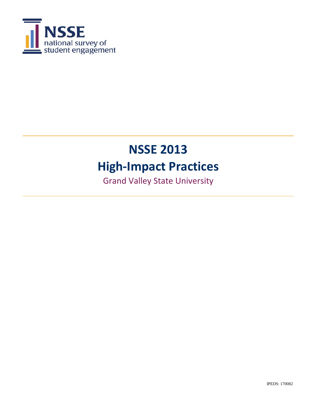

# **NSSE 2013 High-Impact Practices**

Grand Valley State University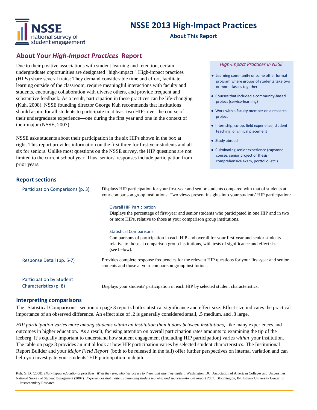

#### **About This Report**

## **About Your** *High-Impact Practices* **Report**

Due to their positive associations with student learning and retention, certain undergraduate opportunities are designated "high-impact." High-impact practices (HIPs) share several traits: They demand considerable time and effort, facilitate learning outside of the classroom, require meaningful interactions with faculty and students, encourage collaboration with diverse others, and provide frequent and substantive feedback. As a result, participation in these practices can be life-changing (Kuh, 2008). NSSE founding director George Kuh recommends that institutions should aspire for all students to participate in at least two HIPs over the course of their undergraduate experience—one during the first year and one in the context of their major (NSSE, 2007).

NSSE asks students about their participation in the six HIPs shown in the box at right. This report provides information on the first three for first-year students and all six for seniors. Unlike most questions on the NSSE survey, the HIP questions are not limited to the current school year. Thus, seniors' responses include participation from prior years.

#### *High-Impact Practices in NSSE*

- Learning community or some other formal program where groups of students take two or more classes together
- Courses that included a community-based project (service-learning)
- Work with a faculty member on a research project
- Internship, co-op, field experience, student teaching, or clinical placement
- Study abroad
- Culminating senior experience (capstone course, senior project or thesis, comprehensive exam, portfolio, etc.)

#### **Report sections**

| Participation Comparisons (p. 3) | Displays HIP participation for your first-year and senior students compared with that of students at<br>your comparison group institutions. Two views present insights into your students' HIP participation:   |  |  |  |  |
|----------------------------------|-----------------------------------------------------------------------------------------------------------------------------------------------------------------------------------------------------------------|--|--|--|--|
|                                  | <b>Overall HIP Participation</b>                                                                                                                                                                                |  |  |  |  |
|                                  | Displays the percentage of first-year and senior students who participated in one HIP and in two<br>or more HIPs, relative to those at your comparison group institutions.                                      |  |  |  |  |
|                                  | <b>Statistical Comparisons</b>                                                                                                                                                                                  |  |  |  |  |
|                                  | Comparisons of participation in each HIP and overall for your first-year and senior students<br>relative to those at comparison group institutions, with tests of significance and effect sizes<br>(see below). |  |  |  |  |
| Response Detail (pp. 5-7)        | Provides complete response frequencies for the relevant HIP questions for your first-year and senior<br>students and those at your comparison group institutions.                                               |  |  |  |  |
| Participation by Student         |                                                                                                                                                                                                                 |  |  |  |  |
| Characteristics (p. 8)           | Displays your students' participation in each HIP by selected student characteristics.                                                                                                                          |  |  |  |  |

#### **Interpreting comparisons**

The "Statistical Comparisons" section on page 3 reports both statistical significance and effect size. Effect size indicates the practical importance of an observed difference. An effect size of .2 is generally considered small, .5 medium, and .8 large.

*HIP participation varies more among students within an institution than it does between institutions,* like many experiences and outcomes in higher education. As a result, focusing attention on overall participation rates amounts to examining the tip of the iceberg. It's equally important to understand how student engagement (including HIP participation) varies *within* your institution. The table on page 8 provides an initial look at how HIP participation varies by selected student characteristics. The Institutional Report Builder and your *Major Field Report* (both to be released in the fall) offer further perspectives on internal variation and can help you investigate your students' HIP participation in depth.

Kuh, G. D. (2008). *High-impact educational practices: What they are, who has access to them, and why they matter.* Washington, DC: Association of American Colleges and Universities. National Survey of Student Engagement (2007). *Experiences that matter: Enhancing student learning and success-Annual Report 2007*. Bloomington, IN: Indiana University Center for Postsecondary Research.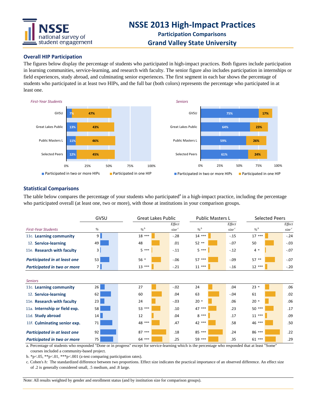

# **NSSE 2013 High-Impact Practices Participation Comparisons Grand Valley State University**

#### **Overall HIP Participation**

The figures below display the percentage of students who participated in high-impact practices. Both figures include participation in learning communities, service-learning, and research with faculty. The senior figure also includes participation in internships or field experiences, study abroad, and culminating senior experiences. The first segment in each bar shows the percentage of students who participated in at least two HIPs, and the full bar (both colors) represents the percentage who participated in at least one.



#### **Statistical Comparisons**

The table below compares the percentage of your students who participated<sup>a</sup> in a high-impact practice, including the percentage who participated overall (at least one, two or more), with those at institutions in your comparison groups.

|                                     | GVSU           | <b>Great Lakes Public</b> |                   | <b>Public Masters L</b> |  |          | <b>Selected Peers</b> |                   |
|-------------------------------------|----------------|---------------------------|-------------------|-------------------------|--|----------|-----------------------|-------------------|
|                                     |                |                           | Effect            |                         |  | Effect   |                       | Effect            |
| <b>First-Year Students</b>          | $\frac{9}{6}$  | $\frac{6}{6}$             | size <sup>c</sup> | $\frac{a}{b}$           |  | $size^c$ | $\frac{a}{b}$         | size <sup>c</sup> |
| 11c. Learning community             | 9              | $18***$                   | $-28$             | $14***$                 |  | $-.15$   | $17***$               | $-.24$            |
| 12. Service-learning                | 49             | 48                        | .01               | 52 **                   |  | $-.07$   | 50                    | $-.03$            |
| 11e. Research with faculty          | 3              | $5***$                    | $-.11$            | $5***$                  |  | $-.12$   | $4 *$                 | $-.07$            |
| <b>Participated in at least one</b> | 53             | $56 *$                    | $-.06$            | 57 ***                  |  | $-.09$   | $57$ **               | $-.07$            |
| Participated in two or more         | 7 <sup>1</sup> | $13***$                   | $-.21$            | $11***$                 |  | $-.16$   | $12***$               | $-.20$            |
|                                     |                |                           |                   |                         |  |          |                       |                   |
| <b>Seniors</b>                      |                |                           |                   |                         |  |          |                       |                   |
| 11c. Learning community             | 26             | 27                        | $-.02$            | 24                      |  | .04      | $23 *$                | .06               |
| 12. Service-learning                | 62             | 60                        | .04               | 63                      |  | $-.04$   | 61                    | .02               |
| 11e. Research with faculty          | 23             | 24                        | $-.03$            | $20*$                   |  | .06      | $20*$                 | .06               |
| 11a. Internship or field exp.       | 58             | 53 ***                    | .10               | 47 ***                  |  | .23      | 50 ***                | .17               |
| 11d. Study abroad                   | 14             | 12                        | .04               | 8 ***                   |  | .17      | $11***$               | .09               |
| 11f. Culminating senior exp.        | 71             | 48 ***                    | .47               | 42 ***                  |  | .58      | 46 ***                | .50               |
| Participated in at least one        | 92             | $87***$                   | .18               | 85 ***                  |  | .24      | 86 ***                | .22               |
| <b>Participated in two or more</b>  | 75             | 64 ***                    | .25               | 59 ***                  |  | .35      | 61 ***                | .29               |

a. Percentage of students who responded "Done or in progress" except for service-learning which is the percentage who responded that at least "Some" courses included a community-based project.

b. \*p<.05, \*\*p<.01, \*\*\*p<.001 (z-test comparing participation rates).

c. Cohen's *h:* The standardized difference between two proportions. Effect size indicates the practical importance of an observed difference. An effect size of .2 is generally considered small, .5 medium, and .8 large.

Note: All results weighted by gender and enrollment status (and by institution size for comparison groups).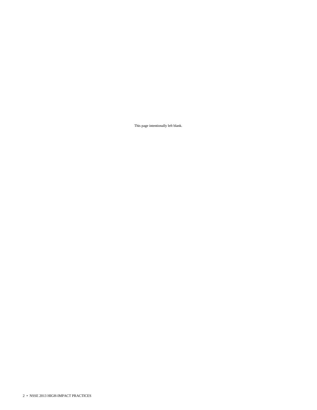This page intentionally left blank.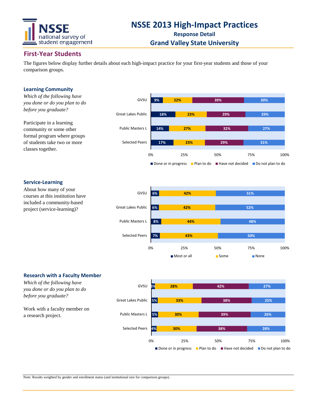

# **First-Year Students**

The figures below display further details about each high-impact practice for your first-year students and those of your comparison groups.

#### **Learning Community**



#### **Service-Learning**

About how many of your courses at this institution have included a community-based project (service-learning)?



#### **Research with a Faculty Member**

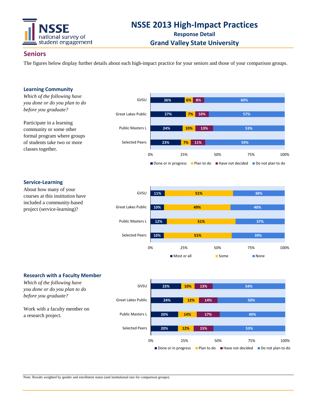

### **Seniors**

The figures below display further details about each high-impact practice for your seniors and those of your comparison groups.

#### **Learning Community**

*Which of the following have you done or do you plan to do before you graduate?* 

Participate in a learning community or some other formal program where groups of students take two or more classes together.



■ Most or all None None

#### **Service-Learning**

About how many of your courses at this institution have included a community-based project (service-learning)? **11% 10% 12% 10% 51% 49% 51% 51% 38% 40% 37% 39%** 0% 25% 50% 75% 100% GVSU Great Lakes Public Public Masters L Selected Peers

#### **Research with a Faculty Member**

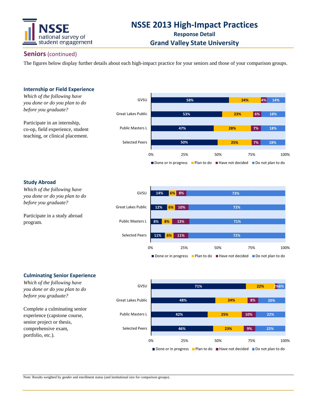

## **Seniors** (continued)

The figures below display further details about each high-impact practice for your seniors and those of your comparison groups.

#### **Internship or Field Experience**



#### **Study Abroad**



#### **Culminating Senior Experience**